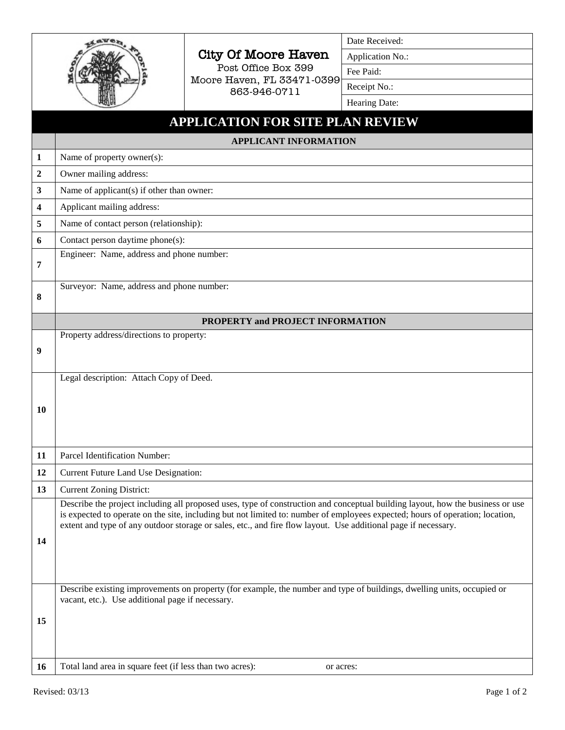|                         |                                                                                                                                                                                                                                                                 | <b>City Of Moore Haven</b><br>Post Office Box 399 | Date Received:<br>Application No.: |  |  |
|-------------------------|-----------------------------------------------------------------------------------------------------------------------------------------------------------------------------------------------------------------------------------------------------------------|---------------------------------------------------|------------------------------------|--|--|
|                         |                                                                                                                                                                                                                                                                 |                                                   | Fee Paid:                          |  |  |
|                         |                                                                                                                                                                                                                                                                 | Moore Haven, FL 33471-0399                        | Receipt No.:                       |  |  |
|                         |                                                                                                                                                                                                                                                                 | 863-946-0711                                      | Hearing Date:                      |  |  |
|                         | <b>APPLICATION FOR SITE PLAN REVIEW</b>                                                                                                                                                                                                                         |                                                   |                                    |  |  |
|                         | <b>APPLICANT INFORMATION</b>                                                                                                                                                                                                                                    |                                                   |                                    |  |  |
| 1                       | Name of property owner(s):                                                                                                                                                                                                                                      |                                                   |                                    |  |  |
| $\boldsymbol{2}$        | Owner mailing address:                                                                                                                                                                                                                                          |                                                   |                                    |  |  |
| 3                       | Name of applicant(s) if other than owner:                                                                                                                                                                                                                       |                                                   |                                    |  |  |
| $\overline{\mathbf{4}}$ | Applicant mailing address:                                                                                                                                                                                                                                      |                                                   |                                    |  |  |
| 5                       | Name of contact person (relationship):                                                                                                                                                                                                                          |                                                   |                                    |  |  |
| 6                       | Contact person daytime phone(s):                                                                                                                                                                                                                                |                                                   |                                    |  |  |
| 7                       | Engineer: Name, address and phone number:                                                                                                                                                                                                                       |                                                   |                                    |  |  |
|                         |                                                                                                                                                                                                                                                                 |                                                   |                                    |  |  |
| 8                       | Surveyor: Name, address and phone number:                                                                                                                                                                                                                       |                                                   |                                    |  |  |
|                         |                                                                                                                                                                                                                                                                 |                                                   |                                    |  |  |
|                         | PROPERTY and PROJECT INFORMATION                                                                                                                                                                                                                                |                                                   |                                    |  |  |
|                         | Property address/directions to property:<br>9                                                                                                                                                                                                                   |                                                   |                                    |  |  |
|                         |                                                                                                                                                                                                                                                                 |                                                   |                                    |  |  |
|                         | Legal description: Attach Copy of Deed.                                                                                                                                                                                                                         |                                                   |                                    |  |  |
|                         |                                                                                                                                                                                                                                                                 |                                                   |                                    |  |  |
| 10                      |                                                                                                                                                                                                                                                                 |                                                   |                                    |  |  |
|                         |                                                                                                                                                                                                                                                                 |                                                   |                                    |  |  |
|                         |                                                                                                                                                                                                                                                                 |                                                   |                                    |  |  |
| 11                      | Parcel Identification Number:                                                                                                                                                                                                                                   |                                                   |                                    |  |  |
| 12                      | Current Future Land Use Designation:                                                                                                                                                                                                                            |                                                   |                                    |  |  |
| 13                      | <b>Current Zoning District:</b>                                                                                                                                                                                                                                 |                                                   |                                    |  |  |
|                         | Describe the project including all proposed uses, type of construction and conceptual building layout, how the business or use<br>is expected to operate on the site, including but not limited to: number of employees expected; hours of operation; location, |                                                   |                                    |  |  |
|                         | extent and type of any outdoor storage or sales, etc., and fire flow layout. Use additional page if necessary.                                                                                                                                                  |                                                   |                                    |  |  |
| 14                      |                                                                                                                                                                                                                                                                 |                                                   |                                    |  |  |
|                         |                                                                                                                                                                                                                                                                 |                                                   |                                    |  |  |
|                         |                                                                                                                                                                                                                                                                 |                                                   |                                    |  |  |
|                         | Describe existing improvements on property (for example, the number and type of buildings, dwelling units, occupied or<br>vacant, etc.). Use additional page if necessary.                                                                                      |                                                   |                                    |  |  |
|                         |                                                                                                                                                                                                                                                                 |                                                   |                                    |  |  |
| 15                      |                                                                                                                                                                                                                                                                 |                                                   |                                    |  |  |
|                         |                                                                                                                                                                                                                                                                 |                                                   |                                    |  |  |
| 16                      | Total land area in square feet (if less than two acres):                                                                                                                                                                                                        | or acres:                                         |                                    |  |  |